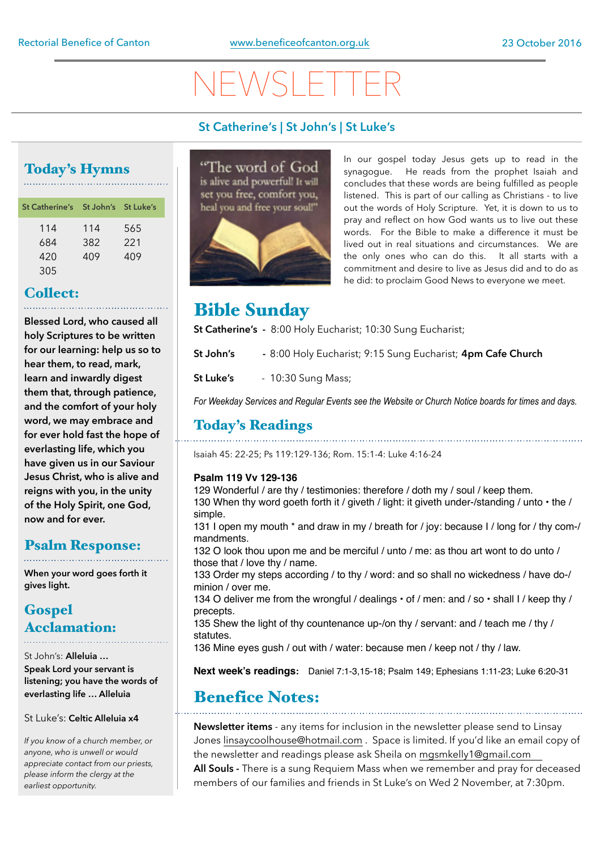# $NENSS$

### **St Catherine's | St John's | St Luke's**

## Today's Hymns

| St Catherine's St John's St Luke's |     |     |
|------------------------------------|-----|-----|
| 114                                | 114 | 565 |
| 684                                | 382 | 221 |
| 420                                | 409 | 409 |
| 305                                |     |     |

### Collect:

**Blessed Lord, who caused all holy Scriptures to be written for our learning: help us so to hear them, to read, mark, learn and inwardly digest them that, through patience, and the comfort of your holy word, we may embrace and for ever hold fast the hope of everlasting life, which you have given us in our Saviour Jesus Christ, who is alive and reigns with you, in the unity of the Holy Spirit, one God, now and for ever.**

### Psalm Response:

**When your word goes forth it gives light.** 

### **Gospel** Acclamation:

#### St John's: **Alleluia … Speak Lord your servant is listening; you have the words of everlasting life … Alleluia**

#### St Luke's: **Celtic Alleluia x4**

*If you know of a church member, or anyone, who is unwell or would appreciate contact from our priests, please inform the clergy at the earliest opportunity.* 

"The word of God is alive and powerful! It will set you free, comfort you, heal you and free your soul!"



In our gospel today Jesus gets up to read in the synagogue. He reads from the prophet Isaiah and concludes that these words are being fulfilled as people listened. This is part of our calling as Christians - to live out the words of Holy Scripture. Yet, it is down to us to pray and reflect on how God wants us to live out these words. For the Bible to make a difference it must be lived out in real situations and circumstances. We are the only ones who can do this. It all starts with a commitment and desire to live as Jesus did and to do as he did: to proclaim Good News to everyone we meet.

### Bible Sunday

**St Catherine's -** 8:00 Holy Eucharist; 10:30 Sung Eucharist;

- **St John's** 8:00 Holy Eucharist; 9:15 Sung Eucharist; **4pm Cafe Church**
- **St Luke's**  10:30 Sung Mass;

*For Weekday Services and Regular Events see the Website or Church Notice boards for times and days.* 

### Today's Readings

Isaiah 45: 22-25; Ps 119:129-136; Rom. 15:1-4: Luke 4:16-24

#### **Psalm 119 Vv 129-136**

129 Wonderful / are thy / testimonies: therefore / doth my / soul / keep them. 130 When thy word goeth forth it / giveth / light: it giveth under-/standing / unto • the / simple.

131 I open my mouth \* and draw in my / breath for / joy: because I / long for / thy com-/ mandments.

132 O look thou upon me and be merciful / unto / me: as thou art wont to do unto / those that / love thy / name.

133 Order my steps according / to thy / word: and so shall no wickedness / have do-/ minion / over me.

134 O deliver me from the wrongful / dealings  $\cdot$  of / men: and / so  $\cdot$  shall I / keep thy / precepts.

135 Shew the light of thy countenance up-/on thy / servant: and / teach me / thy / statutes.

136 Mine eyes gush / out with / water: because men / keep not / thy / law.

**Next week's readings:** Daniel 7:1-3,15-18; Psalm 149; Ephesians 1:11-23; Luke 6:20-31

### Benefice Notes:

**Newsletter items** - any items for inclusion in the newsletter please send to Linsay Jones [linsaycoolhouse@hotmail.com](mailto:linsaycoolhouse@hotmail.com) . Space is limited. If you'd like an email copy of the newsletter and readings please ask Sheila on [mgsmkelly1@gmail.com](mailto:mgsmkelly1@gmail.com)  **All Souls -** There is a sung Requiem Mass when we remember and pray for deceased members of our families and friends in St Luke's on Wed 2 November, at 7:30pm.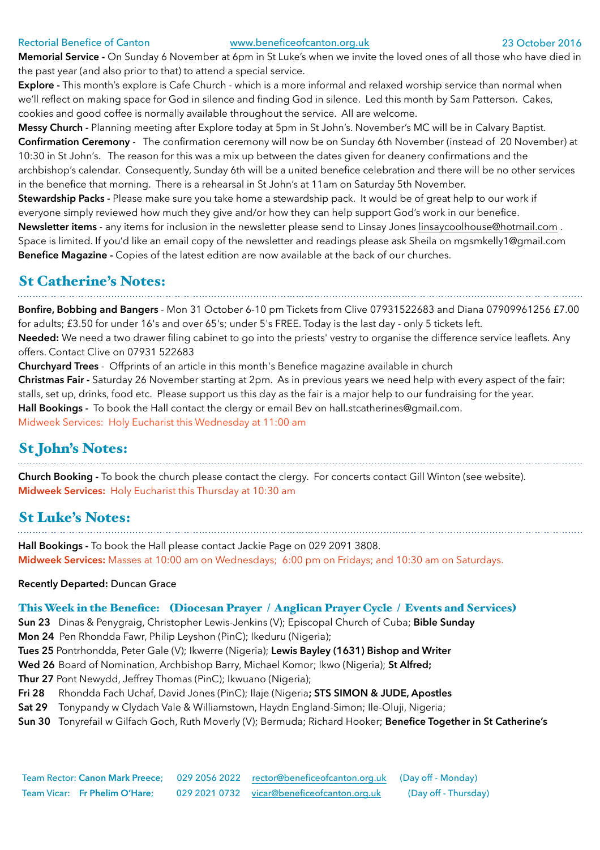#### Rectorial Benefice of Canton [www.beneficeofcanton.org.uk](http://www.beneficeofcanton.org.uk) 23 October 2016

**Memorial Service -** On Sunday 6 November at 6pm in St Luke's when we invite the loved ones of all those who have died in the past year (and also prior to that) to attend a special service.

**Explore -** This month's explore is Cafe Church - which is a more informal and relaxed worship service than normal when we'll reflect on making space for God in silence and finding God in silence. Led this month by Sam Patterson. Cakes, cookies and good coffee is normally available throughout the service. All are welcome.

**Messy Church -** Planning meeting after Explore today at 5pm in St John's. November's MC will be in Calvary Baptist. **Confirmation Ceremony** - The confirmation ceremony will now be on Sunday 6th November (instead of 20 November) at 10:30 in St John's. The reason for this was a mix up between the dates given for deanery confirmations and the archbishop's calendar. Consequently, Sunday 6th will be a united benefice celebration and there will be no other services in the benefice that morning. There is a rehearsal in St John's at 11am on Saturday 5th November.

**Stewardship Packs -** Please make sure you take home a stewardship pack. It would be of great help to our work if everyone simply reviewed how much they give and/or how they can help support God's work in our benefice.

**Newsletter items** - any items for inclusion in the newsletter please send to Linsay Jones [linsaycoolhouse@hotmail.com](mailto:linsaycoolhouse@hotmail.com) . Space is limited. If you'd like an email copy of the newsletter and readings please ask Sheila on [mgsmkelly1@gmail.com](mailto:mgsmkelly1@gmail.com)  **Benefice Magazine -** Copies of the latest edition are now available at the back of our churches.

### St Catherine's Notes:

**Bonfire, Bobbing and Bangers** - Mon 31 October 6-10 pm Tickets from Clive 07931522683 and Diana 07909961256 £7.00 for adults; £3.50 for under 16's and over 65's; under 5's FREE. Today is the last day - only 5 tickets left. **Needed:** We need a two drawer filing cabinet to go into the priests' vestry to organise the difference service leaflets. Any

offers. Contact Clive on 07931 522683

**Churchyard Trees** - Offprints of an article in this month's Benefice magazine available in church **Christmas Fair -** Saturday 26 November starting at 2pm. As in previous years we need help with every aspect of the fair: stalls, set up, drinks, food etc. Please support us this day as the fair is a major help to our fundraising for the year. **Hall Bookings -** To book the Hall contact the clergy or email Bev on [hall.stcatherines@gmail.com](mailto:hall.stcatherines@gmail.com). Midweek Services: Holy Eucharist this Wednesday at 11:00 am

### St John's Notes:

**Church Booking -** To book the church please contact the clergy. For concerts contact Gill Winton (see website). **Midweek Services:** Holy Eucharist this Thursday at 10:30 am

### St Luke's Notes:

**Hall Bookings -** To book the Hall please contact Jackie Page on 029 2091 3808. **Midweek Services:** Masses at 10:00 am on Wednesdays; 6:00 pm on Fridays; and 10:30 am on Saturdays.

#### **Recently Departed:** Duncan Grace

#### This Week in the Benefice: (Diocesan Prayer / Anglican Prayer Cycle / Events and Services)

**Sun 23** Dinas & Penygraig, Christopher Lewis-Jenkins (V); Episcopal Church of Cuba; **Bible Sunday** 

**Mon 24** Pen Rhondda Fawr, Philip Leyshon (PinC); Ikeduru (Nigeria);

**Tues 25** Pontrhondda, Peter Gale (V); Ikwerre (Nigeria); **Lewis Bayley (1631) Bishop and Writer** 

**Wed 26** Board of Nomination, Archbishop Barry, Michael Komor; Ikwo (Nigeria); **St Alfred;** 

**Thur 27** Pont Newydd, Jeffrey Thomas (PinC); Ikwuano (Nigeria);

**Fri 28** Rhondda Fach Uchaf, David Jones (PinC); Ilaje (Nigeria**; STS SIMON & JUDE, Apostles** 

**Sat 29** Tonypandy w Clydach Vale & Williamstown, Haydn England-Simon; Ile-Oluji, Nigeria;

**Sun 30** Tonyrefail w Gilfach Goch, Ruth Moverly (V); Bermuda; Richard Hooker; **Benefice Together in St Catherine's**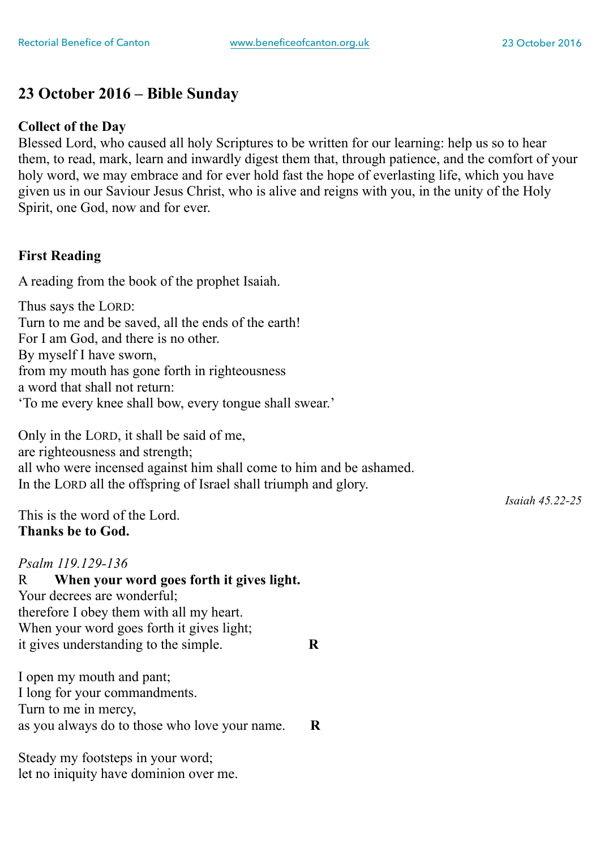### **23 October 2016 – Bible Sunday**

### **Collect of the Day**

Blessed Lord, who caused all holy Scriptures to be written for our learning: help us so to hear them, to read, mark, learn and inwardly digest them that, through patience, and the comfort of your holy word, we may embrace and for ever hold fast the hope of everlasting life, which you have given us in our Saviour Jesus Christ, who is alive and reigns with you, in the unity of the Holy Spirit, one God, now and for ever.

### **First Reading**

A reading from the book of the prophet Isaiah.

Thus says the LORD: Turn to me and be saved, all the ends of the earth! For I am God, and there is no other. By myself I have sworn, from my mouth has gone forth in righteousness a word that shall not return: 'To me every knee shall bow, every tongue shall swear.'

Only in the LORD, it shall be said of me, are righteousness and strength; all who were incensed against him shall come to him and be ashamed. In the LORD all the offspring of Israel shall triumph and glory.

This is the word of the Lord. **Thanks be to God.**

### *Psalm 119.129-136*

R **When your word goes forth it gives light.** 

Your decrees are wonderful; therefore I obey them with all my heart. When your word goes forth it gives light; it gives understanding to the simple. **R** 

I open my mouth and pant; I long for your commandments. Turn to me in mercy, as you always do to those who love your name. **R** 

Steady my footsteps in your word; let no iniquity have dominion over me. *Isaiah 45.22-25*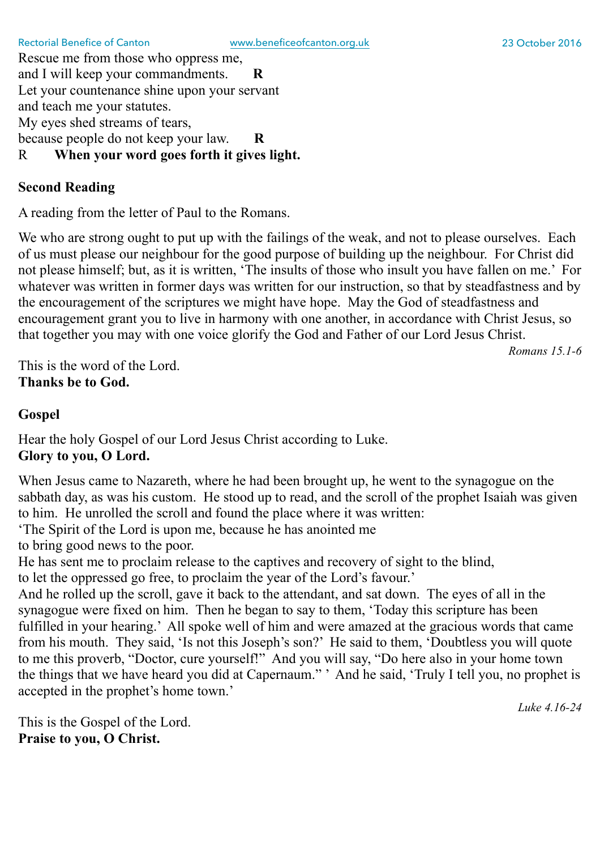Rescue me from those who oppress me, and I will keep your commandments. **R**  Let your countenance shine upon your servant and teach me your statutes. My eyes shed streams of tears, because people do not keep your law. **R**  R **When your word goes forth it gives light.** 

### **Second Reading**

A reading from the letter of Paul to the Romans.

We who are strong ought to put up with the failings of the weak, and not to please ourselves. Each of us must please our neighbour for the good purpose of building up the neighbour. For Christ did not please himself; but, as it is written, 'The insults of those who insult you have fallen on me.' For whatever was written in former days was written for our instruction, so that by steadfastness and by the encouragement of the scriptures we might have hope. May the God of steadfastness and encouragement grant you to live in harmony with one another, in accordance with Christ Jesus, so that together you may with one voice glorify the God and Father of our Lord Jesus Christ.

*Romans 15.1-6* 

This is the word of the Lord. **Thanks be to God.**

### **Gospel**

Hear the holy Gospel of our Lord Jesus Christ according to Luke. **Glory to you, O Lord.** 

When Jesus came to Nazareth, where he had been brought up, he went to the synagogue on the sabbath day, as was his custom. He stood up to read, and the scroll of the prophet Isaiah was given to him. He unrolled the scroll and found the place where it was written:

'The Spirit of the Lord is upon me, because he has anointed me

to bring good news to the poor.

He has sent me to proclaim release to the captives and recovery of sight to the blind,

to let the oppressed go free, to proclaim the year of the Lord's favour.'

And he rolled up the scroll, gave it back to the attendant, and sat down. The eyes of all in the synagogue were fixed on him. Then he began to say to them, 'Today this scripture has been fulfilled in your hearing.' All spoke well of him and were amazed at the gracious words that came from his mouth. They said, 'Is not this Joseph's son?' He said to them, 'Doubtless you will quote to me this proverb, "Doctor, cure yourself!" And you will say, "Do here also in your home town the things that we have heard you did at Capernaum." ' And he said, 'Truly I tell you, no prophet is accepted in the prophet's home town.'

*Luke 4.16-24* 

This is the Gospel of the Lord. **Praise to you, O Christ.**